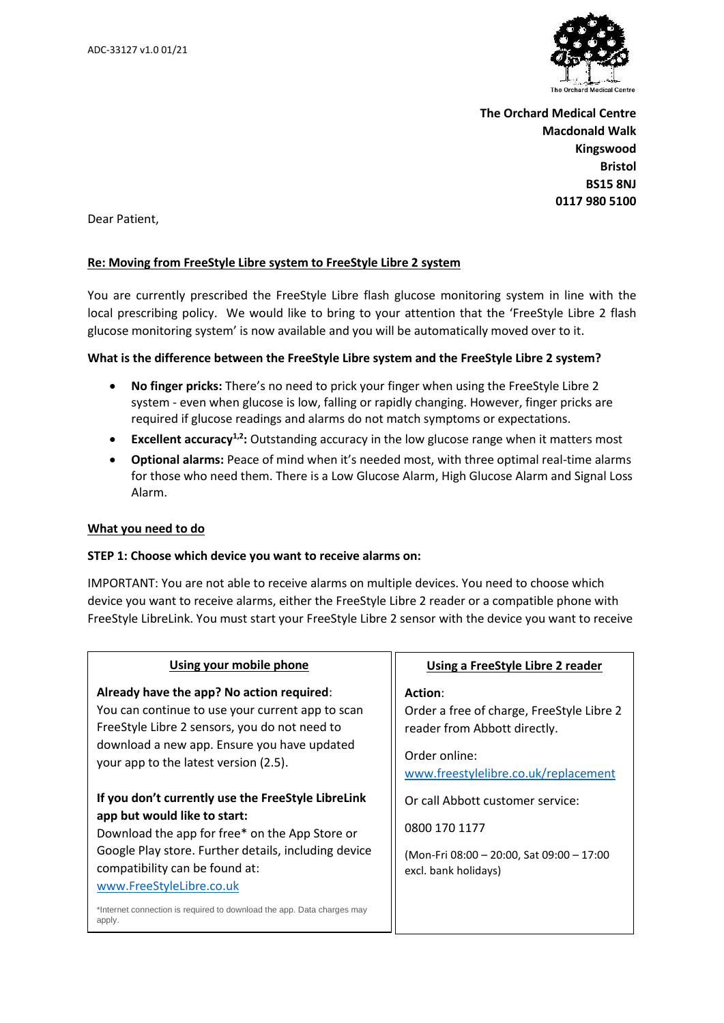

**The Orchard Medical Centre Macdonald Walk Kingswood Bristol BS15 8NJ 0117 980 5100**

Dear Patient,

## **Re: Moving from FreeStyle Libre system to FreeStyle Libre 2 system**

You are currently prescribed the FreeStyle Libre flash glucose monitoring system in line with the local prescribing policy. We would like to bring to your attention that the 'FreeStyle Libre 2 flash glucose monitoring system' is now available and you will be automatically moved over to it.

## **What is the difference between the FreeStyle Libre system and the FreeStyle Libre 2 system?**

- **No finger pricks:** There's no need to prick your finger when using the FreeStyle Libre 2 system - even when glucose is low, falling or rapidly changing. However, finger pricks are required if glucose readings and alarms do not match symptoms or expectations.
- **Excellent accuracy<sup>1,2</sup>**: Outstanding accuracy in the low glucose range when it matters most
- **Optional alarms:** Peace of mind when it's needed most, with three optimal real-time alarms for those who need them. There is a Low Glucose Alarm, High Glucose Alarm and Signal Loss Alarm.

## **What you need to do**

## **STEP 1: Choose which device you want to receive alarms on:**

IMPORTANT: You are not able to receive alarms on multiple devices. You need to choose which device you want to receive alarms, either the FreeStyle Libre 2 reader or a compatible phone with FreeStyle LibreLink. You must start your FreeStyle Libre 2 sensor with the device you want to receive

| Using your mobile phone                                                                | Using a FreeStyle Libre 2 reader                      |
|----------------------------------------------------------------------------------------|-------------------------------------------------------|
| Already have the app? No action required:                                              | Action:                                               |
| You can continue to use your current app to scan                                       | Order a free of charge, FreeStyle Libre 2             |
| FreeStyle Libre 2 sensors, you do not need to                                          | reader from Abbott directly.                          |
| download a new app. Ensure you have updated<br>your app to the latest version (2.5).   | Order online:<br>www.freestylelibre.co.uk/replacement |
| If you don't currently use the FreeStyle LibreLink                                     | Or call Abbott customer service:                      |
| app but would like to start:                                                           |                                                       |
| Download the app for free* on the App Store or                                         | 0800 170 1177                                         |
| Google Play store. Further details, including device<br>compatibility can be found at: | (Mon-Fri 08:00 - 20:00, Sat 09:00 - 17:00             |
|                                                                                        | excl. bank holidays)                                  |
| www.FreeStyleLibre.co.uk                                                               |                                                       |
| *Internet connection is required to download the app. Data charges may<br>apply.       |                                                       |